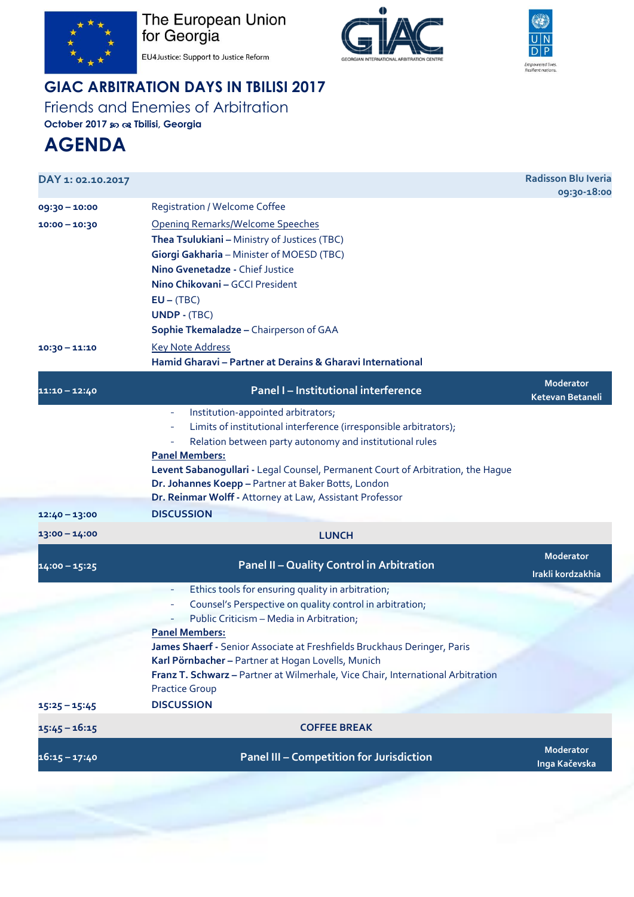

The European Union<br>for Georgia





EU4Justice: Support to Justice Reform

## **GIAC ARBITRATION DAYS IN TBILISI 2017**

Friends and Enemies of Arbitration

**October 2017 Tbilisi, Georgia**

## **AGENDA**

| DAY 1: 02.10.2017                                   |                                                                                                                                                                                                                                                                                                                                                                                                                                           | <b>Radisson Blu Iveria</b><br>09:30-18:00 |
|-----------------------------------------------------|-------------------------------------------------------------------------------------------------------------------------------------------------------------------------------------------------------------------------------------------------------------------------------------------------------------------------------------------------------------------------------------------------------------------------------------------|-------------------------------------------|
| 09:30 - 10:00<br>$10:00 - 10:30$<br>$10:30 - 11:10$ | <b>Registration / Welcome Coffee</b><br><b>Opening Remarks/Welcome Speeches</b><br>Thea Tsulukiani - Ministry of Justices (TBC)<br>Giorgi Gakharia - Minister of MOESD (TBC)<br>Nino Gvenetadze - Chief Justice<br>Nino Chikovani - GCCI President<br>$EU - (TBC)$<br><b>UNDP - (TBC)</b><br>Sophie Tkemaladze - Chairperson of GAA<br><b>Key Note Address</b>                                                                            |                                           |
|                                                     | Hamid Gharavi - Partner at Derains & Gharavi International                                                                                                                                                                                                                                                                                                                                                                                |                                           |
| 11:10 - 12:40                                       | Panel I - Institutional interference                                                                                                                                                                                                                                                                                                                                                                                                      | <b>Moderator</b><br>Ketevan Betaneli      |
|                                                     | Institution-appointed arbitrators;<br>$\equiv$<br>Limits of institutional interference (irresponsible arbitrators);<br>$\overline{\phantom{a}}$<br>Relation between party autonomy and institutional rules<br><b>Panel Members:</b><br>Levent Sabanogullari - Legal Counsel, Permanent Court of Arbitration, the Hague<br>Dr. Johannes Koepp - Partner at Baker Botts, London<br>Dr. Reinmar Wolff - Attorney at Law, Assistant Professor |                                           |
| $12:40 - 13:00$                                     | <b>DISCUSSION</b>                                                                                                                                                                                                                                                                                                                                                                                                                         |                                           |
| $13:00 - 14:00$                                     | <b>LUNCH</b>                                                                                                                                                                                                                                                                                                                                                                                                                              |                                           |
| $14:00 - 15:25$                                     | <b>Panel II - Quality Control in Arbitration</b>                                                                                                                                                                                                                                                                                                                                                                                          | <b>Moderator</b><br>Irakli kordzakhia     |
|                                                     | Ethics tools for ensuring quality in arbitration;                                                                                                                                                                                                                                                                                                                                                                                         |                                           |
|                                                     | Counsel's Perspective on quality control in arbitration;<br>$\equiv$                                                                                                                                                                                                                                                                                                                                                                      |                                           |
|                                                     | Public Criticism - Media in Arbitration;                                                                                                                                                                                                                                                                                                                                                                                                  |                                           |
| $15:25 - 15:45$                                     | <b>Panel Members:</b><br>James Shaerf - Senior Associate at Freshfields Bruckhaus Deringer, Paris<br>Karl Pörnbacher - Partner at Hogan Lovells, Munich<br>Franz T. Schwarz - Partner at Wilmerhale, Vice Chair, International Arbitration<br><b>Practice Group</b><br><b>DISCUSSION</b>                                                                                                                                                  |                                           |
|                                                     |                                                                                                                                                                                                                                                                                                                                                                                                                                           |                                           |
| $15:45 - 16:15$                                     | <b>COFFEE BREAK</b>                                                                                                                                                                                                                                                                                                                                                                                                                       |                                           |
| 16:15 – 17:40                                       | <b>Panel III - Competition for Jurisdiction</b>                                                                                                                                                                                                                                                                                                                                                                                           | <b>Moderator</b><br>Inga Kačevska         |
|                                                     |                                                                                                                                                                                                                                                                                                                                                                                                                                           |                                           |